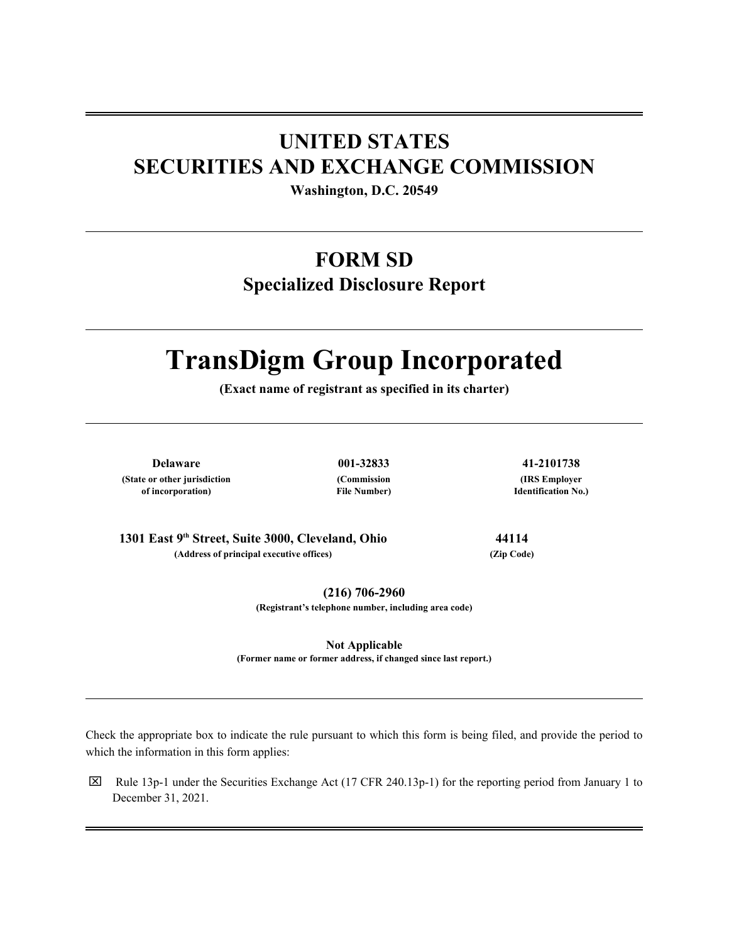# **UNITED STATES SECURITIES AND EXCHANGE COMMISSION**

**Washington, D.C. 20549**

# **FORM SD**

**Specialized Disclosure Report**

# **TransDigm Group Incorporated**

**(Exact name of registrant as specified in its charter)**

**Delaware 001-32833 41-2101738 (State or other jurisdiction of incorporation)**

**(Commission File Number)**

**(IRS Employer Identification No.)**

**1301 East 9th Street, Suite 3000, Cleveland, Ohio 44114 (Address of principal executive offices) (Zip Code)**

**(216) 706-2960**

**(Registrant's telephone number, including area code)**

**Not Applicable (Former name or former address, if changed since last report.)**

Check the appropriate box to indicate the rule pursuant to which this form is being filed, and provide the period to which the information in this form applies:

 $\boxtimes$  Rule 13p-1 under the Securities Exchange Act (17 CFR 240.13p-1) for the reporting period from January 1 to December 31, 2021.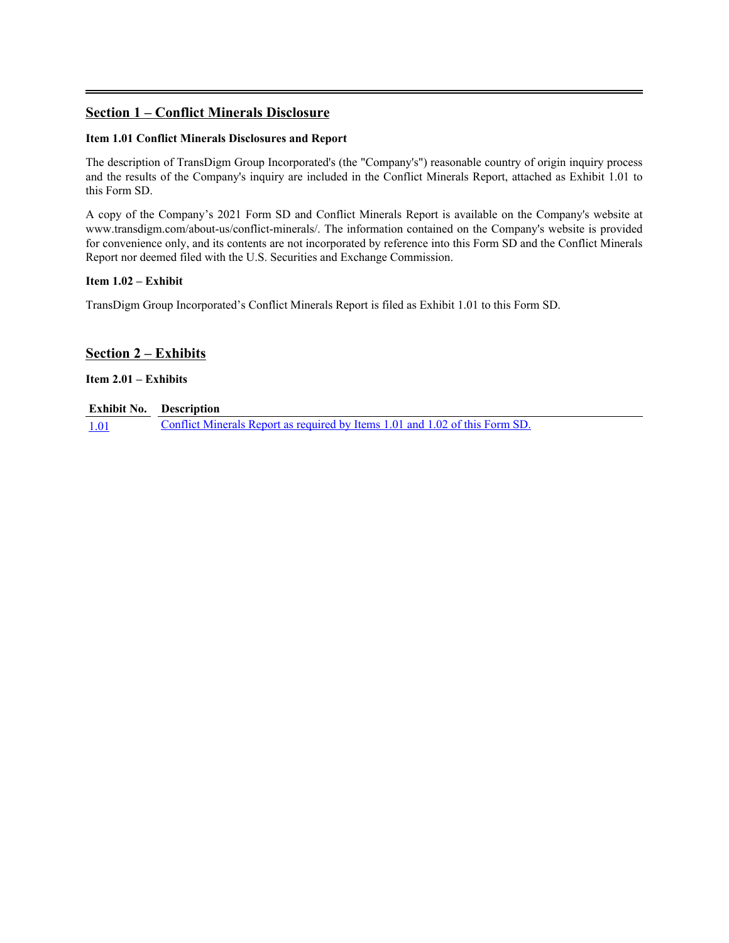# **Section 1 – Conflict Minerals Disclosure**

# **Item 1.01 Conflict Minerals Disclosures and Report**

The description of TransDigm Group Incorporated's (the "Company's") reasonable country of origin inquiry process and the results of the Company's inquiry are included in the Conflict Minerals Report, attached as Exhibit 1.01 to this Form SD.

A copy of the Company's 2021 Form SD and Conflict Minerals Report is available on the Company's website at www.transdigm.com/about-us/conflict-minerals/. The information contained on the Company's website is provided for convenience only, and its contents are not incorporated by reference into this Form SD and the Conflict Minerals Report nor deemed filed with the U.S. Securities and Exchange Commission.

# **Item 1.02 – Exhibit**

TransDigm Group Incorporated's Conflict Minerals Report is filed as Exhibit 1.01 to this Form SD.

# **Section 2 – Exhibits**

# **Item 2.01 – Exhibits**

# **Exhibit No. Description**

[1.01](#page-3-0) [Conflict Minerals Report as required by Items 1.01 and 1.02 of this Form SD.](#page-3-0)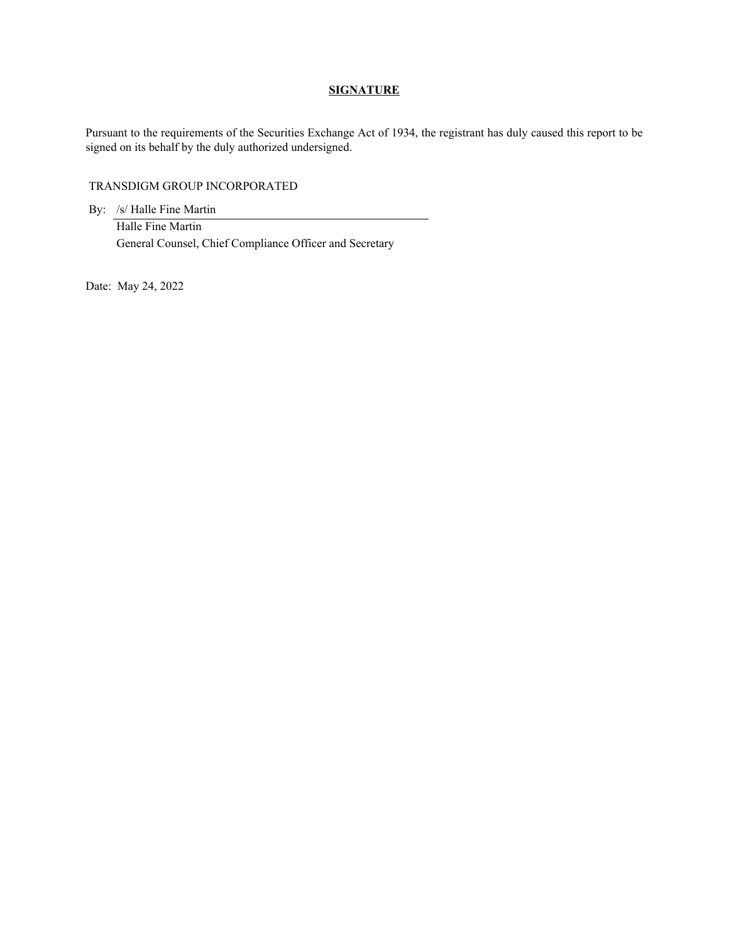#### **SIGNATURE**

Pursuant to the requirements of the Securities Exchange Act of 1934, the registrant has duly caused this report to be signed on its behalf by the duly authorized undersigned.

#### TRANSDIGM GROUP INCORPORATED

By: /s/ Halle Fine Martin

Halle Fine Martin General Counsel, Chief Compliance Officer and Secretary

Date: May 24, 2022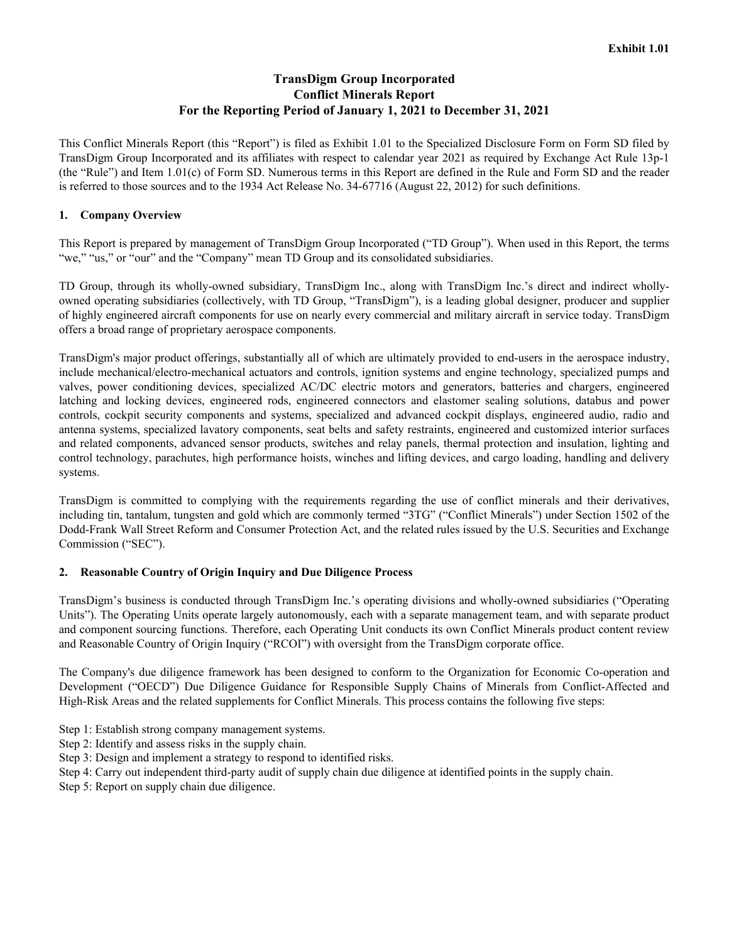# **TransDigm Group Incorporated Conflict Minerals Report For the Reporting Period of January 1, 2021 to December 31, 2021**

<span id="page-3-0"></span>This Conflict Minerals Report (this "Report") is filed as Exhibit 1.01 to the Specialized Disclosure Form on Form SD filed by TransDigm Group Incorporated and its affiliates with respect to calendar year 2021 as required by Exchange Act Rule 13p-1 (the "Rule") and Item 1.01(c) of Form SD. Numerous terms in this Report are defined in the Rule and Form SD and the reader is referred to those sources and to the 1934 Act Release No. 34-67716 (August 22, 2012) for such definitions.

# **1. Company Overview**

This Report is prepared by management of TransDigm Group Incorporated ("TD Group"). When used in this Report, the terms "we," "us," or "our" and the "Company" mean TD Group and its consolidated subsidiaries.

TD Group, through its wholly-owned subsidiary, TransDigm Inc., along with TransDigm Inc.'s direct and indirect whollyowned operating subsidiaries (collectively, with TD Group, "TransDigm"), is a leading global designer, producer and supplier of highly engineered aircraft components for use on nearly every commercial and military aircraft in service today. TransDigm offers a broad range of proprietary aerospace components.

TransDigm's major product offerings, substantially all of which are ultimately provided to end-users in the aerospace industry, include mechanical/electro-mechanical actuators and controls, ignition systems and engine technology, specialized pumps and valves, power conditioning devices, specialized AC/DC electric motors and generators, batteries and chargers, engineered latching and locking devices, engineered rods, engineered connectors and elastomer sealing solutions, databus and power controls, cockpit security components and systems, specialized and advanced cockpit displays, engineered audio, radio and antenna systems, specialized lavatory components, seat belts and safety restraints, engineered and customized interior surfaces and related components, advanced sensor products, switches and relay panels, thermal protection and insulation, lighting and control technology, parachutes, high performance hoists, winches and lifting devices, and cargo loading, handling and delivery systems.

TransDigm is committed to complying with the requirements regarding the use of conflict minerals and their derivatives, including tin, tantalum, tungsten and gold which are commonly termed "3TG" ("Conflict Minerals") under Section 1502 of the Dodd-Frank Wall Street Reform and Consumer Protection Act, and the related rules issued by the U.S. Securities and Exchange Commission ("SEC").

#### **2. Reasonable Country of Origin Inquiry and Due Diligence Process**

TransDigm's business is conducted through TransDigm Inc.'s operating divisions and wholly-owned subsidiaries ("Operating Units"). The Operating Units operate largely autonomously, each with a separate management team, and with separate product and component sourcing functions. Therefore, each Operating Unit conducts its own Conflict Minerals product content review and Reasonable Country of Origin Inquiry ("RCOI") with oversight from the TransDigm corporate office.

The Company's due diligence framework has been designed to conform to the Organization for Economic Co-operation and Development ("OECD") Due Diligence Guidance for Responsible Supply Chains of Minerals from Conflict-Affected and High-Risk Areas and the related supplements for Conflict Minerals. This process contains the following five steps:

- Step 1: Establish strong company management systems.
- Step 2: Identify and assess risks in the supply chain.
- Step 3: Design and implement a strategy to respond to identified risks.
- Step 4: Carry out independent third-party audit of supply chain due diligence at identified points in the supply chain.
- Step 5: Report on supply chain due diligence.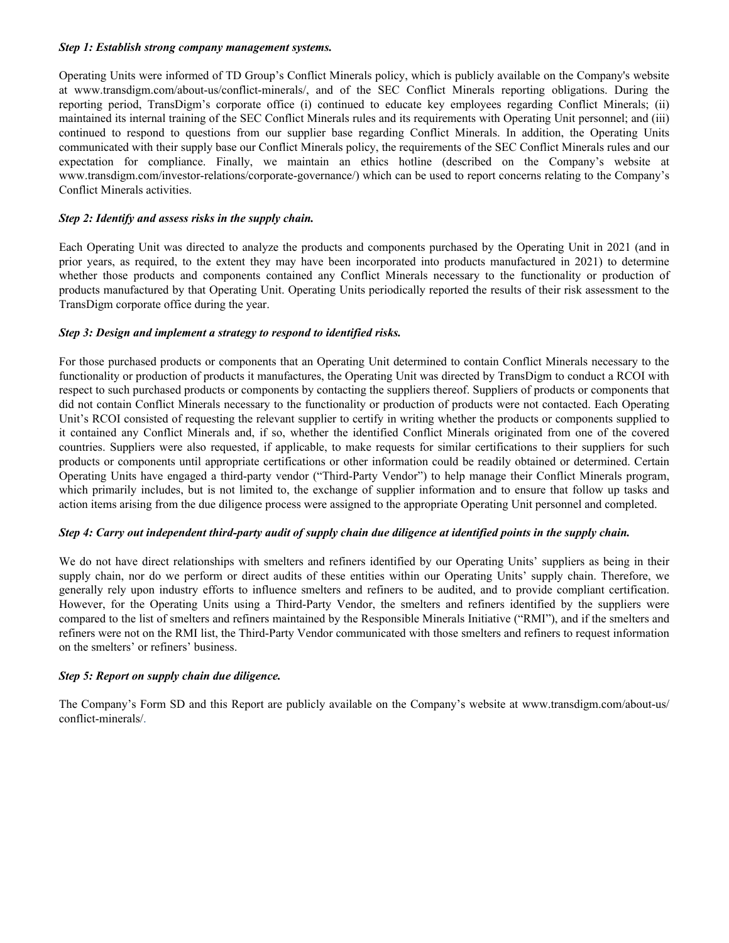#### *Step 1: Establish strong company management systems.*

Operating Units were informed of TD Group's Conflict Minerals policy, which is publicly available on the Company's website at www.transdigm.com/about-us/conflict-minerals/, and of the SEC Conflict Minerals reporting obligations. During the reporting period, TransDigm's corporate office (i) continued to educate key employees regarding Conflict Minerals; (ii) maintained its internal training of the SEC Conflict Minerals rules and its requirements with Operating Unit personnel; and (iii) continued to respond to questions from our supplier base regarding Conflict Minerals. In addition, the Operating Units communicated with their supply base our Conflict Minerals policy, the requirements of the SEC Conflict Minerals rules and our expectation for compliance. Finally, we maintain an ethics hotline (described on the Company's website at www.transdigm.com/investor-relations/corporate-governance/) which can be used to report concerns relating to the Company's Conflict Minerals activities.

#### *Step 2: Identify and assess risks in the supply chain.*

Each Operating Unit was directed to analyze the products and components purchased by the Operating Unit in 2021 (and in prior years, as required, to the extent they may have been incorporated into products manufactured in 2021) to determine whether those products and components contained any Conflict Minerals necessary to the functionality or production of products manufactured by that Operating Unit. Operating Units periodically reported the results of their risk assessment to the TransDigm corporate office during the year.

# *Step 3: Design and implement a strategy to respond to identified risks.*

For those purchased products or components that an Operating Unit determined to contain Conflict Minerals necessary to the functionality or production of products it manufactures, the Operating Unit was directed by TransDigm to conduct a RCOI with respect to such purchased products or components by contacting the suppliers thereof. Suppliers of products or components that did not contain Conflict Minerals necessary to the functionality or production of products were not contacted. Each Operating Unit's RCOI consisted of requesting the relevant supplier to certify in writing whether the products or components supplied to it contained any Conflict Minerals and, if so, whether the identified Conflict Minerals originated from one of the covered countries. Suppliers were also requested, if applicable, to make requests for similar certifications to their suppliers for such products or components until appropriate certifications or other information could be readily obtained or determined. Certain Operating Units have engaged a third-party vendor ("Third-Party Vendor") to help manage their Conflict Minerals program, which primarily includes, but is not limited to, the exchange of supplier information and to ensure that follow up tasks and action items arising from the due diligence process were assigned to the appropriate Operating Unit personnel and completed.

#### *Step 4: Carry out independent third-party audit of supply chain due diligence at identified points in the supply chain.*

We do not have direct relationships with smelters and refiners identified by our Operating Units' suppliers as being in their supply chain, nor do we perform or direct audits of these entities within our Operating Units' supply chain. Therefore, we generally rely upon industry efforts to influence smelters and refiners to be audited, and to provide compliant certification. However, for the Operating Units using a Third-Party Vendor, the smelters and refiners identified by the suppliers were compared to the list of smelters and refiners maintained by the Responsible Minerals Initiative ("RMI"), and if the smelters and refiners were not on the RMI list, the Third-Party Vendor communicated with those smelters and refiners to request information on the smelters' or refiners' business.

#### *Step 5: Report on supply chain due diligence.*

The Company's Form SD and this Report are publicly available on the Company's website at www.transdigm.com/about-us/ conflict-minerals/.